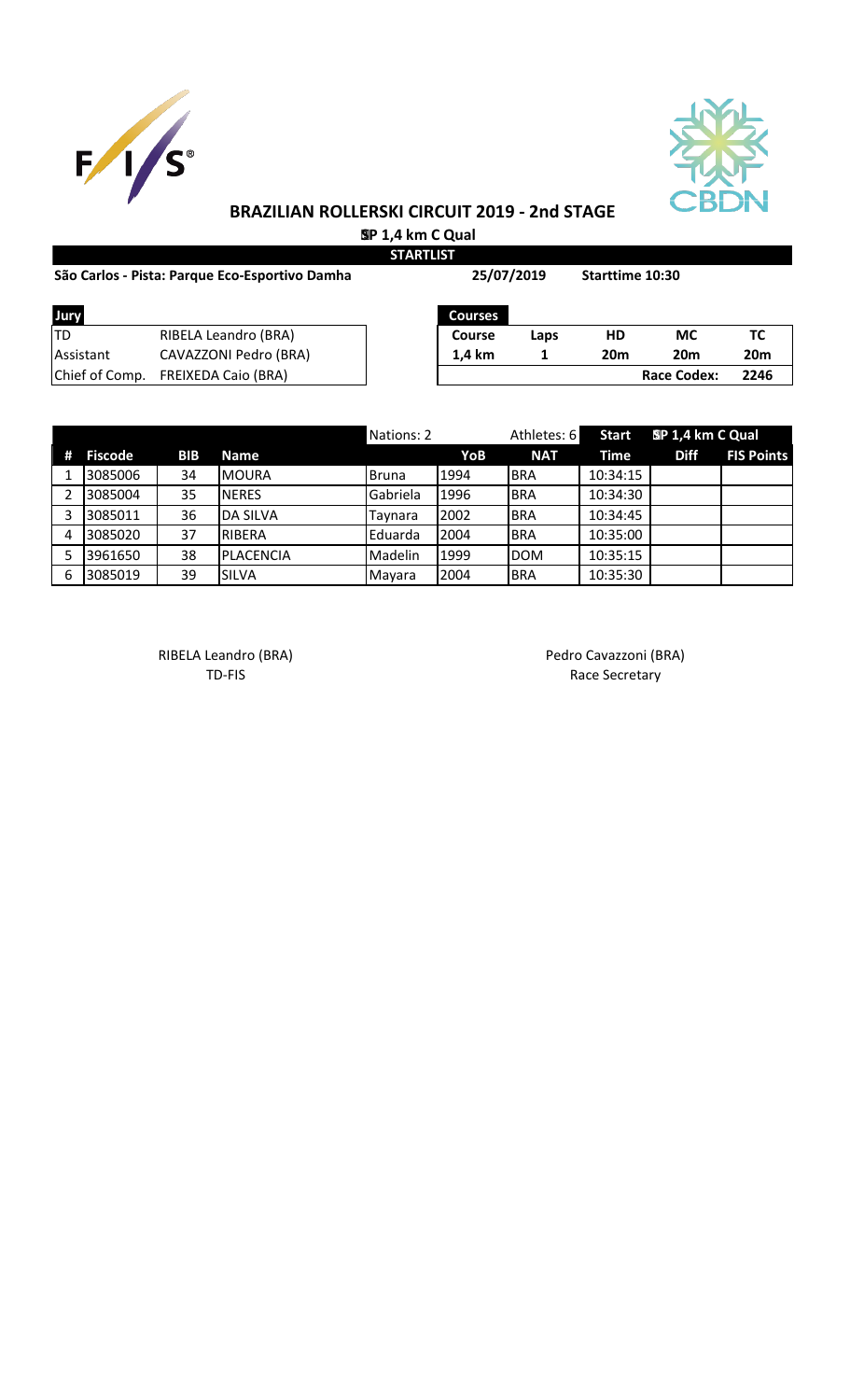



 **SP 1,4 km C Qual STARTLIST**

| São Carlos - Pista: Parque Eco-Esportivo Damha |                            | 25/07/2019     |      | Starttime 10:30 |                    |                 |
|------------------------------------------------|----------------------------|----------------|------|-----------------|--------------------|-----------------|
| Jury                                           |                            | <b>Courses</b> |      |                 |                    |                 |
| ltd                                            | RIBELA Leandro (BRA)       | Course         | Laps | HD              | <b>MC</b>          | TC              |
| <b>Assistant</b>                               | CAVAZZONI Pedro (BRA)      | 1.4 km         |      | 20 <sub>m</sub> | <b>20m</b>         | 20 <sub>m</sub> |
| Chief of Comp.                                 | <b>FREIXEDA Caio (BRA)</b> |                |      |                 | <b>Race Codex:</b> | 2246            |

|   |                |            |                   | Nations: 2 |      | Athletes: 6 | <b>Start</b> | SP 1,4 km C Qual |                   |
|---|----------------|------------|-------------------|------------|------|-------------|--------------|------------------|-------------------|
| # | <b>Fiscode</b> | <b>BIB</b> | <b>Name</b>       |            | YoB  | <b>NAT</b>  | Time         | <b>Diff</b>      | <b>FIS Points</b> |
|   | 3085006        | 34         | <b>MOURA</b>      | Bruna      | 1994 | <b>BRA</b>  | 10:34:15     |                  |                   |
|   | 3085004        | 35         | <b>INERES</b>     | Gabriela   | 1996 | <b>BRA</b>  | 10:34:30     |                  |                   |
| 3 | 3085011        | 36         | <b>DA SILVA</b>   | Taynara    | 2002 | <b>BRA</b>  | 10:34:45     |                  |                   |
| 4 | 3085020        | 37         | RIBERA            | Eduarda    | 2004 | <b>BRA</b>  | 10:35:00     |                  |                   |
|   | 3961650        | 38         | <b>IPLACENCIA</b> | Madelin    | 1999 | <b>DOM</b>  | 10:35:15     |                  |                   |
| 6 | 3085019        | 39         | <b>SILVA</b>      | Mayara     | 2004 | <b>BRA</b>  | 10:35:30     |                  |                   |

RIBELA Leandro (BRA) and a control of the Pedro Cavazzoni (BRA)

TD-FIS Race Secretary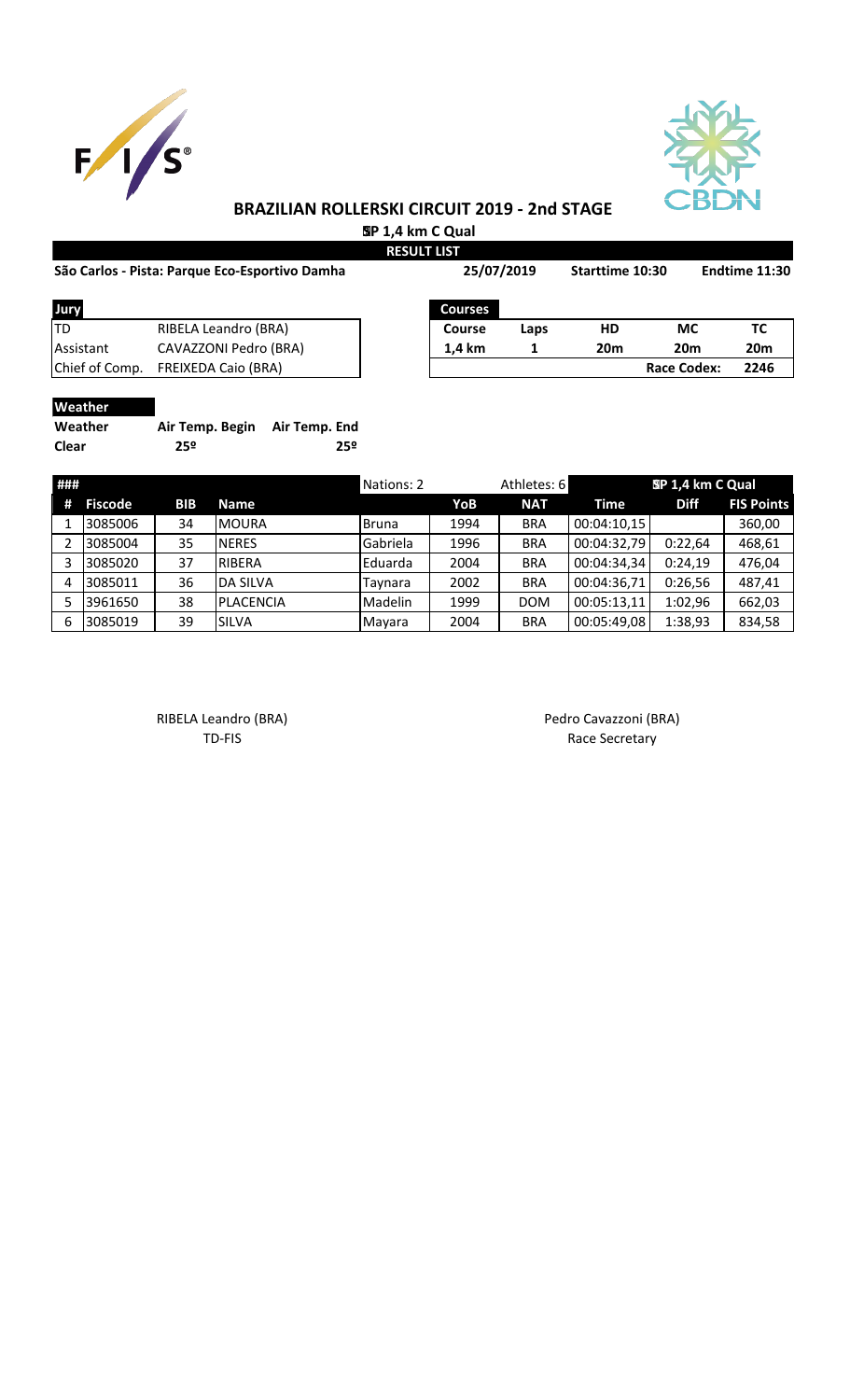



 **SP 1,4 km C Qual**

|                | São Carlos - Pista: Parque Eco-Esportivo Damha | <b>RESULT LIST</b><br>25/07/2019 |      | Starttime 10:30 |                    | Endtime 11:30   |
|----------------|------------------------------------------------|----------------------------------|------|-----------------|--------------------|-----------------|
|                |                                                |                                  |      |                 |                    |                 |
| Jury           |                                                | <b>Courses</b>                   |      |                 |                    |                 |
| ltd            | RIBELA Leandro (BRA)                           | Course                           | Laps | HD              | МC                 | ТC              |
| Assistant      | CAVAZZONI Pedro (BRA)                          | 1,4 km                           |      | 20 <sub>m</sub> | 20 <sub>m</sub>    | 20 <sub>m</sub> |
| Chief of Comp. | <b>FREIXEDA Caio (BRA)</b>                     |                                  |      |                 | <b>Race Codex:</b> | 2246            |
|                |                                                |                                  |      |                 |                    |                 |

#### **Weather**

| Weather | Air Temp. Begin Air Temp. End |     |
|---------|-------------------------------|-----|
| Clear   | 25º                           | 25º |

| ### |                |            |                 | Nations: 2     |      | Athletes: 6 |             | SP 1,4 km C Qual |                   |
|-----|----------------|------------|-----------------|----------------|------|-------------|-------------|------------------|-------------------|
| #   | <b>Fiscode</b> | <b>BIB</b> | <b>Name</b>     |                | YoB  | <b>NAT</b>  | Time        | <b>Diff</b>      | <b>FIS Points</b> |
|     | 3085006        | 34         | <b>MOURA</b>    | Bruna          | 1994 | <b>BRA</b>  | 00:04:10,15 |                  | 360,00            |
|     | 3085004        | 35         | <b>NERES</b>    | Gabriela       | 1996 | <b>BRA</b>  | 00:04:32,79 | 0:22,64          | 468,61            |
|     | 3085020        | 37         | <b>RIBERA</b>   | <b>Eduarda</b> | 2004 | <b>BRA</b>  | 00:04:34,34 | 0:24,19          | 476,04            |
|     | 3085011        | 36         | <b>DA SILVA</b> | Taynara        | 2002 | <b>BRA</b>  | 00:04:36,71 | 0:26,56          | 487,41            |
|     | 3961650        | 38         | PLACENCIA       | Madelin        | 1999 | <b>DOM</b>  | 00:05:13,11 | 1:02,96          | 662,03            |
| 6   | 3085019        | 39         | <b>SILVA</b>    | Mayara         | 2004 | <b>BRA</b>  | 00:05:49,08 | 1:38,93          | 834,58            |

RIBELA Leandro (BRA) and a control of the Pedro Cavazzoni (BRA)

TD-FIS Race Secretary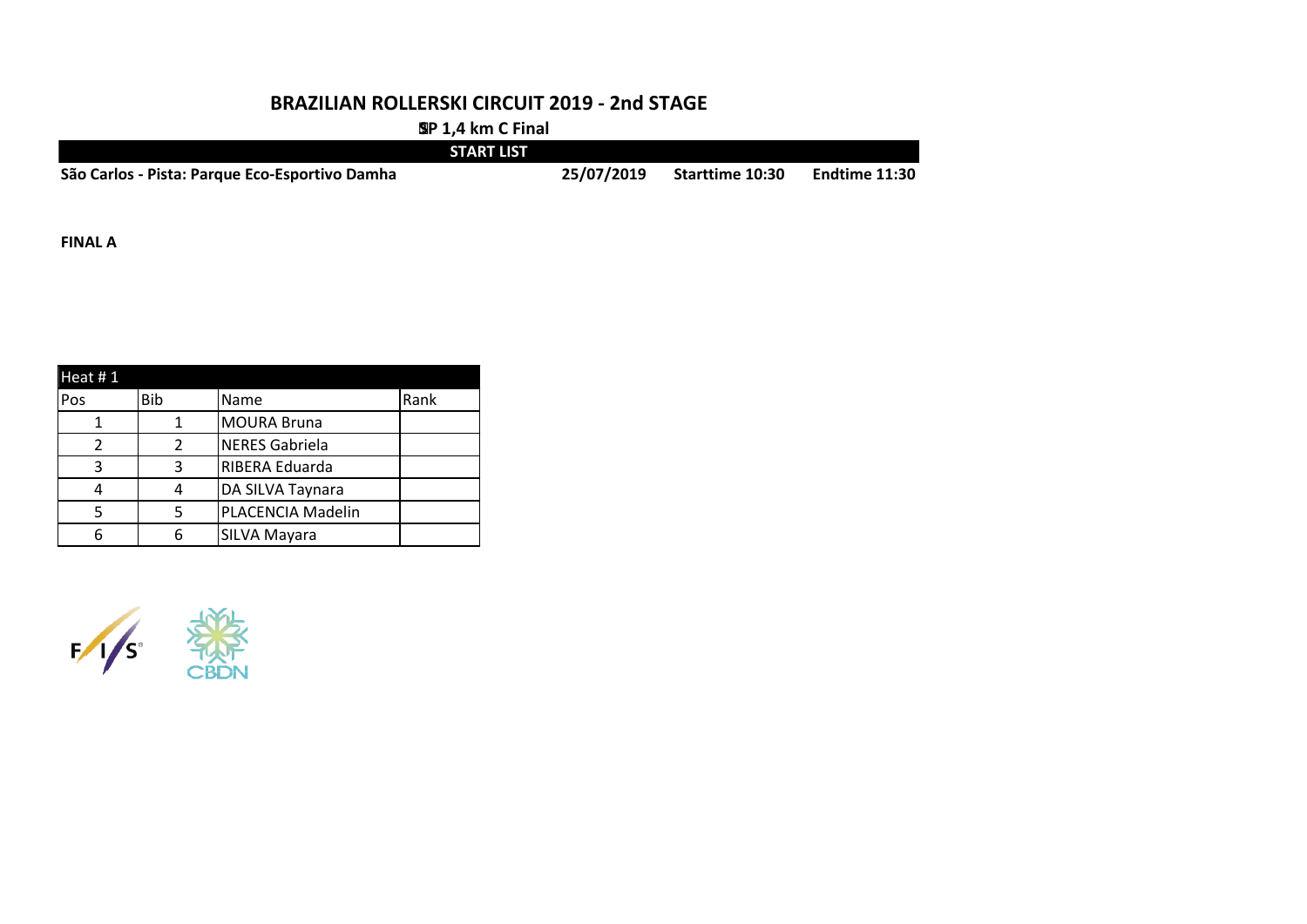**SP 1,4 km C Final**

|                                                | <b>START LIST</b> |            |                        |               |
|------------------------------------------------|-------------------|------------|------------------------|---------------|
| São Carlos - Pista: Parque Eco-Esportivo Damha |                   | 25/07/2019 | <b>Starttime 10:30</b> | Endtime 11:30 |

**FINAL A**

| Heat # $1$ |               |                       |      |  |  |  |  |
|------------|---------------|-----------------------|------|--|--|--|--|
| Pos        | <b>Bib</b>    | Name                  | Rank |  |  |  |  |
|            |               | <b>MOURA Bruna</b>    |      |  |  |  |  |
| っ          | $\mathcal{P}$ | <b>NERES Gabriela</b> |      |  |  |  |  |
| ર          | ર             | <b>RIBERA Eduarda</b> |      |  |  |  |  |
|            |               | DA SILVA Taynara      |      |  |  |  |  |
|            |               | PLACENCIA Madelin     |      |  |  |  |  |
|            |               | SILVA Mayara          |      |  |  |  |  |

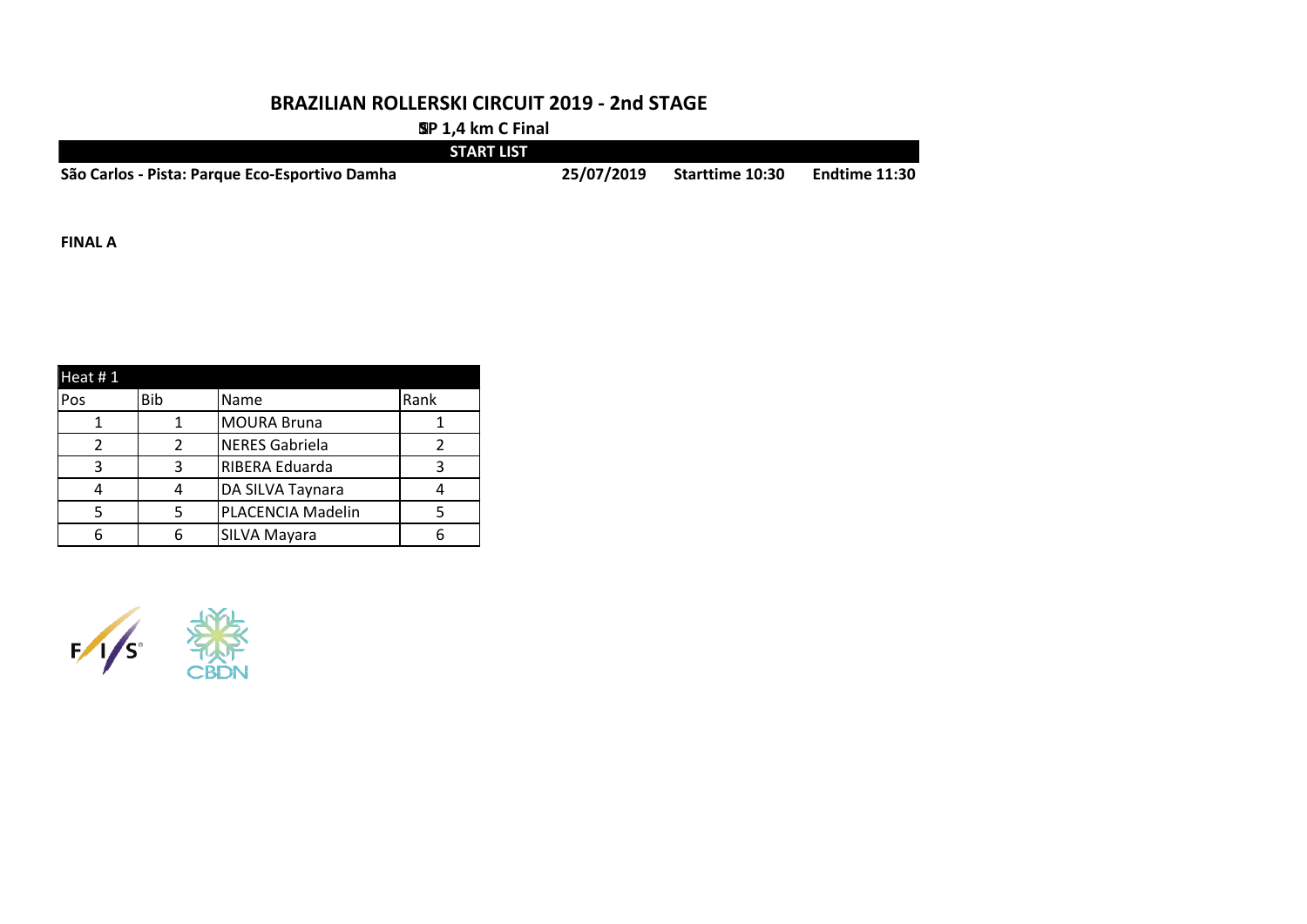**SP 1,4 km C Final**

|                                                | <b>START LIST</b> |                        |               |
|------------------------------------------------|-------------------|------------------------|---------------|
| São Carlos - Pista: Parque Eco-Esportivo Damha | 25/07/2019        | <b>Starttime 10:30</b> | Endtime 11:30 |

**FINAL A**

| Heat $# 1$ |            |                       |      |
|------------|------------|-----------------------|------|
| Pos        | <b>Bib</b> | Name                  | Rank |
|            |            | <b>MOURA Bruna</b>    |      |
|            | າ          | <b>NERES Gabriela</b> |      |
| ຊ          | ર          | RIBERA Eduarda        |      |
|            |            | DA SILVA Taynara      |      |
|            |            | PLACENCIA Madelin     |      |
|            |            | SILVA Mayara          |      |